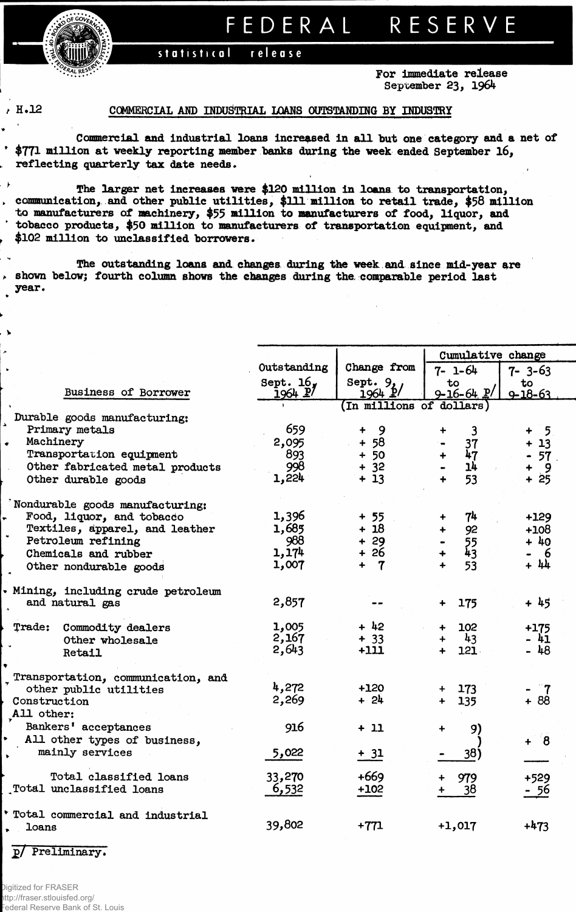FEDERAL

## release statistical

For immediate release September 23, 1964

RESERVE

. )

 $\lambda$ 

## H.12 COMMERCIAL AND INDUSTRIAL LOANS OUTSTANDING BY INDUSTRY

Commercial and industrial loans increased in all but one category and a net of \$771 million at weekly reporting member banks during the week ended September 16, reflecting quarterly tax date needs.

The larger net increases were \$120 million in loans to transportation, communication, and other public utilities, \$111 million to retail trade, \$58 million to manufacturers of machinery, \$55 million to manufacturers of food, liquor, and tobacco products, \$50 million to manufacturers of transportation equipment, and \$102 million to unclassified borrowers.

The outstanding loans and changes during the week and since mid-year are  $\rightarrow$  shown below; fourth column shows the changes during the comparable period last year.

|                                    |                          |                             | Cumulative change          |                     |  |  |  |  |  |  |
|------------------------------------|--------------------------|-----------------------------|----------------------------|---------------------|--|--|--|--|--|--|
|                                    | Outstanding              | Change from                 | $7 - 1 - 64$               | 7-3-63              |  |  |  |  |  |  |
| Business of Borrower               | Sept. $16_y$<br>1964 P   | Sept. $9/1964$              | to<br>$9 - 16 - 64$ $P$    | to<br>$9 - 18 - 63$ |  |  |  |  |  |  |
|                                    | (In millions of dollars) |                             |                            |                     |  |  |  |  |  |  |
| Durable goods manufacturing:       |                          |                             |                            |                     |  |  |  |  |  |  |
| Primary metals                     | 659                      | 9<br>$\ddotmark$            | $\overline{3}$<br>۰        | 5 <sub>1</sub><br>┿ |  |  |  |  |  |  |
| Machinery                          | 2,095                    | 58<br>$\ddot{\phantom{1}}$  | 37                         | 13<br>$\ddotmark$   |  |  |  |  |  |  |
| Transportation equipment           | 893                      | $+50$                       | 47<br>$+$                  | 57<br>۰             |  |  |  |  |  |  |
| Other fabricated metal products    | 998                      | $+ 32$                      | 14                         | - 9<br>+            |  |  |  |  |  |  |
| Other durable goods                | 1,224                    | $+13$                       | 53<br>$\ddot{\phantom{1}}$ | $+25$               |  |  |  |  |  |  |
| Nondurable goods manufacturing:    |                          |                             |                            |                     |  |  |  |  |  |  |
| Food, liquor, and tobacco          | 1,396                    | + 55                        | 74<br>╇                    | $+129$              |  |  |  |  |  |  |
| Textiles, apparel, and leather     | 1,685                    | $+18$                       | 92<br>$\ddot{}$            | $+108$              |  |  |  |  |  |  |
| Petroleum refining                 | 988                      | $+29$                       |                            | $+40$               |  |  |  |  |  |  |
| Chemicals and rubber               | 1,174                    | + 26                        | $\frac{55}{43}$            | - 6                 |  |  |  |  |  |  |
| Other nondurable goods             | 1,007                    | $\mathbf{7}$<br>$\ddotmark$ | 53<br>$\ddotmark$          | + 44                |  |  |  |  |  |  |
| Mining, including crude petroleum  |                          |                             |                            |                     |  |  |  |  |  |  |
| and natural gas                    | 2,857                    |                             | 175<br>$\ddotmark$         | $+45$               |  |  |  |  |  |  |
| Trade: Commodity dealers           | 1,005                    | $+42$                       | 102<br>$\ddotmark$         | +175                |  |  |  |  |  |  |
| Other wholesale                    | 2,167                    | $+ 33$                      | 43<br>$+$                  | - 41                |  |  |  |  |  |  |
| Retail                             | 2,643                    | $+111$                      | 121<br>$+$                 | $-48$               |  |  |  |  |  |  |
| Transportation, communication, and |                          |                             |                            |                     |  |  |  |  |  |  |
| other public utilities             | 4,272                    | $+120$                      | 173<br>$+$                 |                     |  |  |  |  |  |  |
| Construction                       | 2,269                    | $+ 24$                      | 135<br>$+$                 | $+88$               |  |  |  |  |  |  |
| All other:                         |                          |                             |                            |                     |  |  |  |  |  |  |
| Bankers' acceptances               | 916                      | $+11$                       | 9)<br>$\ddot{}$            |                     |  |  |  |  |  |  |
| All other types of business,       |                          |                             |                            | $+ 8$               |  |  |  |  |  |  |
| mainly services                    | 5,022                    | $+ 31$                      | 38)                        |                     |  |  |  |  |  |  |
|                                    |                          |                             |                            |                     |  |  |  |  |  |  |
| Total classified loans             | 33,270                   | $+669$                      | 979                        | +529                |  |  |  |  |  |  |
| Total unclassified loans           | 6,532                    | $+102$                      | 38                         | - 56                |  |  |  |  |  |  |
|                                    |                          |                             |                            |                     |  |  |  |  |  |  |
| Total commercial and industrial    |                          |                             |                            |                     |  |  |  |  |  |  |
| loans                              | 39,802                   | $+771$                      | $+1,017$                   | $+473$              |  |  |  |  |  |  |
|                                    |                          |                             |                            |                     |  |  |  |  |  |  |

p/ Preliminary.